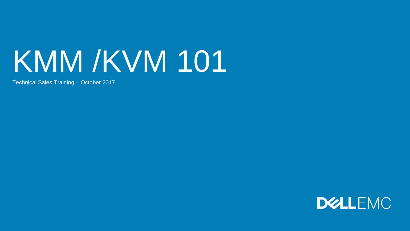# KMM /KVM 101

Technical Sales Training – October 2017

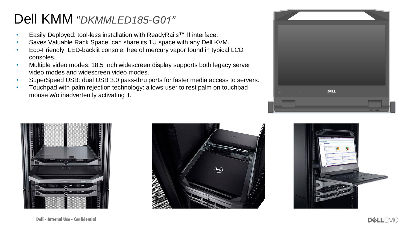#### Dell KMM "*DKMMLED185-G01"*

- Easily Deployed: tool-less installation with ReadyRails™ II interface.
- Saves Valuable Rack Space: can share its 1U space with any Dell KVM.
- Eco-Friendly: LED-backlit console, free of mercury vapor found in typical LCD consoles.
- Multiple video modes: 18.5 Inch widescreen display supports both legacy server video modes and widescreen video modes.
- SuperSpeed USB: dual USB 3.0 pass-thru ports for faster media access to servers.
- Touchpad with palm rejection technology: allows user to rest palm on touchpad mouse w/o inadvertently activating it.







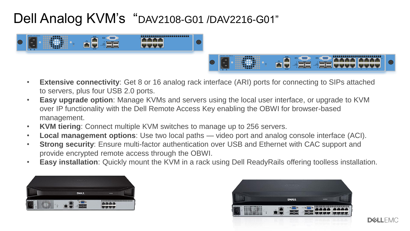### Dell Analog KVM's "DAV2108-G01 /DAV2216-G01"



- **Extensive connectivity**: Get 8 or 16 analog rack interface (ARI) ports for connecting to SIPs attached to servers, plus four USB 2.0 ports.
- **Easy upgrade option**: Manage KVMs and servers using the local user interface, or upgrade to KVM over IP functionality with the Dell Remote Access Key enabling the OBWI for browser-based management.
- **KVM tiering**: Connect multiple KVM switches to manage up to 256 servers.
- **Local management options**: Use two local paths video port and analog console interface (ACI).
- **Strong security**: Ensure multi-factor authentication over USB and Ethernet with CAC support and provide encrypted remote access through the OBWI.
- **Easy installation**: Quickly mount the KVM in a rack using Dell ReadyRails offering toolless installation.





**DEALLEMO**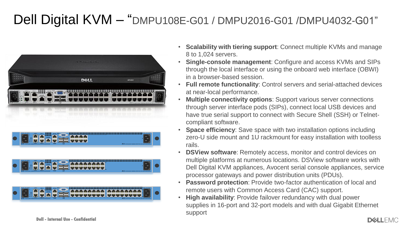#### Dell Digital KVM – "DMPU108E-G01 / DMPU2016-G01 /DMPU4032-G01"



- **Scalability with tiering support**: Connect multiple KVMs and manage 8 to 1,024 servers.
- **Single-console management**: Configure and access KVMs and SIPs through the local interface or using the onboard web interface (OBWI) in a browser-based session.
- **Full remote functionality**: Control servers and serial-attached devices at near-local performance.
- **Multiple connectivity options**: Support various server connections through server interface pods (SIPs), connect local USB devices and have true serial support to connect with Secure Shell (SSH) or Telnetcompliant software.
- **Space efficiency:** Save space with two installation options including zero-U side mount and 1U rackmount for easy installation with toolless rails.
- **DSView software**: Remotely access, monitor and control devices on multiple platforms at numerous locations. DSView software works with Dell Digital KVM appliances, Avocent serial console appliances, service processor gateways and power distribution units (PDUs).
- **Password protection**: Provide two-factor authentication of local and remote users with Common Access Card (CAC) support.
- **High availability**: Provide failover redundancy with dual power supplies in 16-port and 32-port models and with dual Gigabit Ethernet support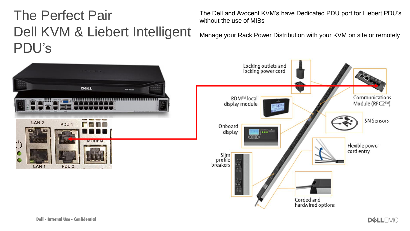### The Perfect Pair Dell KVM & Liebert Intelligent PDU's

The Dell and Avocent KVM's have Dedicated PDU port for Liebert PDU's without the use of MIBs

Manage your Rack Power Distribution with your KVM on site or remotely



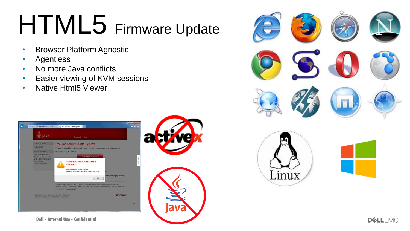## HTML5 Firmware Update

- Browser Platform Agnostic
- Agentless
- No more Java conflicts
- Easier viewing of KVM sessions
- Native Html5 Viewer





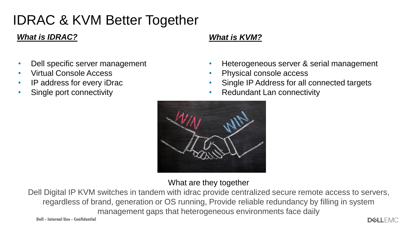### IDRAC & KVM Better Together

#### *What is IDRAC? What is KVM?*

- Dell specific server management
- Virtual Console Access
- IP address for every iDrac
- Single port connectivity

- Heterogeneous server & serial management
- Physical console access
- Single IP Address for all connected targets
- Redundant Lan connectivity



What are they together

Dell Digital IP KVM switches in tandem with idrac provide centralized secure remote access to servers, regardless of brand, generation or OS running, Provide reliable redundancy by filling in system management gaps that heterogeneous environments face daily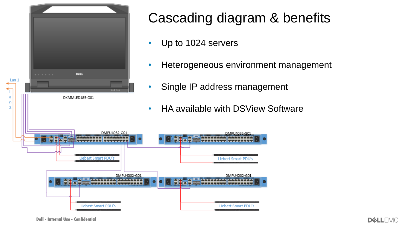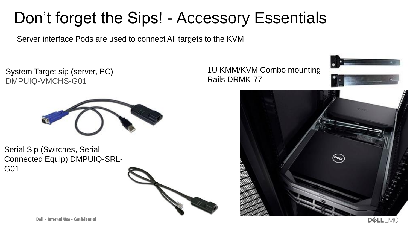## Don't forget the Sips! - Accessory Essentials

Server interface Pods are used to connect All targets to the KVM

System Target sip (server, PC) DMPUIQ-VMCHS-G01



Serial Sip (Switches, Serial Connected Equip) DMPUIQ-SRL-G01